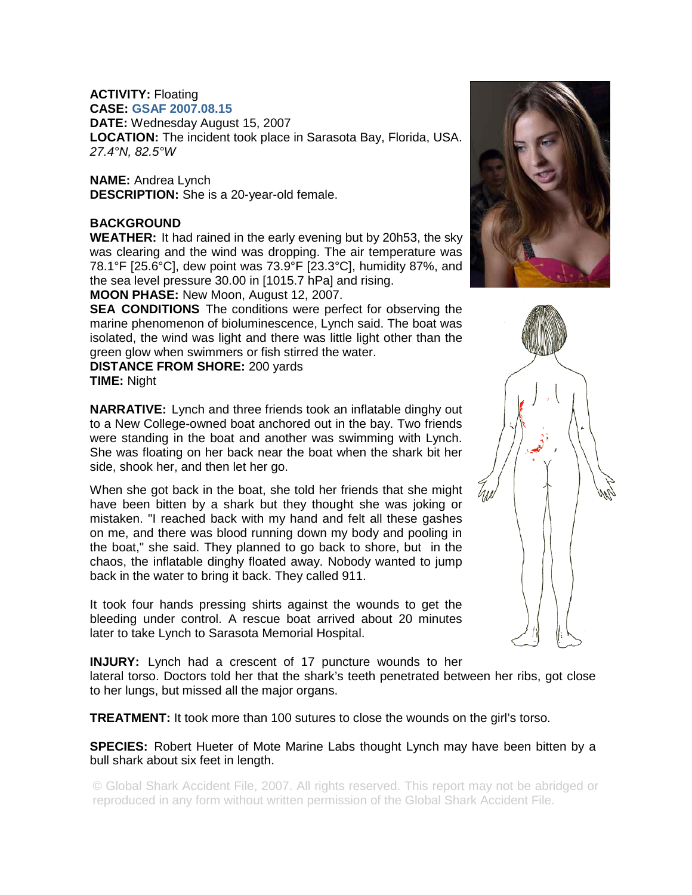## **ACTIVITY:** Floating

**CASE: GSAF 2007.08.15**

**DATE:** Wednesday August 15, 2007 **LOCATION:** The incident took place in Sarasota Bay, Florida, USA. *27.4°N, 82.5°W* 

**NAME:** Andrea Lynch **DESCRIPTION:** She is a 20-year-old female.

## **BACKGROUND**

**WEATHER:** It had rained in the early evening but by 20h53, the sky was clearing and the wind was dropping. The air temperature was 78.1°F [25.6°C], dew point was 73.9°F [23.3°C], humidity 87%, and the sea level pressure 30.00 in [1015.7 hPa] and rising.

**MOON PHASE:** New Moon, August 12, 2007.

**SEA CONDITIONS** The conditions were perfect for observing the marine phenomenon of bioluminescence, Lynch said. The boat was isolated, the wind was light and there was little light other than the green glow when swimmers or fish stirred the water.

**DISTANCE FROM SHORE:** 200 yards **TIME:** Night

**NARRATIVE:** Lynch and three friends took an inflatable dinghy out to a New College-owned boat anchored out in the bay. Two friends were standing in the boat and another was swimming with Lynch. She was floating on her back near the boat when the shark bit her side, shook her, and then let her go.

When she got back in the boat, she told her friends that she might have been bitten by a shark but they thought she was joking or mistaken. "I reached back with my hand and felt all these gashes on me, and there was blood running down my body and pooling in the boat," she said. They planned to go back to shore, but in the chaos, the inflatable dinghy floated away. Nobody wanted to jump back in the water to bring it back. They called 911.

It took four hands pressing shirts against the wounds to get the bleeding under control. A rescue boat arrived about 20 minutes later to take Lynch to Sarasota Memorial Hospital.

**INJURY:** Lynch had a crescent of 17 puncture wounds to her lateral torso. Doctors told her that the shark's teeth penetrated between her ribs, got close to her lungs, but missed all the major organs.

**TREATMENT:** It took more than 100 sutures to close the wounds on the girl's torso.

**SPECIES:** Robert Hueter of Mote Marine Labs thought Lynch may have been bitten by a bull shark about six feet in length.

© Global Shark Accident File, 2007. All rights reserved. This report may not be abridged or reproduced in any form without written permission of the Global Shark Accident File.